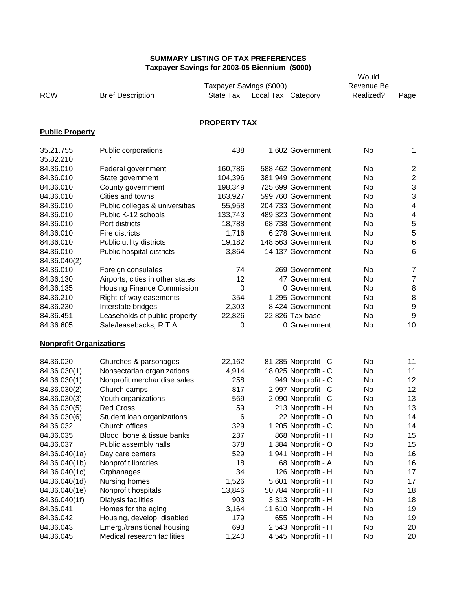|                                |                                   |                          |                           |                      | Would      |                  |
|--------------------------------|-----------------------------------|--------------------------|---------------------------|----------------------|------------|------------------|
|                                |                                   | Taxpayer Savings (\$000) |                           |                      | Revenue Be |                  |
| <b>RCW</b>                     | <b>Brief Description</b>          | State Tax                | <b>Local Tax Category</b> |                      | Realized?  | Page             |
|                                |                                   |                          |                           |                      |            |                  |
|                                |                                   |                          |                           |                      |            |                  |
|                                |                                   | <b>PROPERTY TAX</b>      |                           |                      |            |                  |
| <b>Public Property</b>         |                                   |                          |                           |                      |            |                  |
| 35.21.755                      | Public corporations               | 438                      |                           | 1,602 Government     | No         | 1                |
| 35.82.210                      |                                   |                          |                           |                      |            |                  |
| 84.36.010                      | Federal government                | 160,786                  |                           | 588,462 Government   | No         | $\boldsymbol{2}$ |
| 84.36.010                      | State government                  | 104,396                  |                           | 381,949 Government   | No         | $\boldsymbol{2}$ |
| 84.36.010                      | County government                 | 198,349                  |                           | 725,699 Government   | No         | 3                |
| 84.36.010                      | Cities and towns                  | 163,927                  |                           | 599,760 Government   | No         | 3                |
| 84.36.010                      | Public colleges & universities    | 55,958                   |                           | 204,733 Government   | No         | 4                |
| 84.36.010                      | Public K-12 schools               |                          |                           |                      | No         |                  |
|                                |                                   | 133,743                  |                           | 489,323 Government   |            | 4                |
| 84.36.010                      | Port districts                    | 18,788                   |                           | 68,738 Government    | No         | 5                |
| 84.36.010                      | Fire districts                    | 1,716                    |                           | 6,278 Government     | No         | 5                |
| 84.36.010                      | Public utility districts          | 19,182                   |                           | 148,563 Government   | No         | $\,$ 6           |
| 84.36.010                      | Public hospital districts         | 3,864                    |                           | 14,137 Government    | No         | 6                |
| 84.36.040(2)                   |                                   |                          |                           |                      |            |                  |
| 84.36.010                      | Foreign consulates                | 74                       |                           | 269 Government       | No         | $\overline{7}$   |
| 84.36.130                      | Airports, cities in other states  | 12                       |                           | 47 Government        | No         | $\boldsymbol{7}$ |
| 84.36.135                      | <b>Housing Finance Commission</b> | 0                        |                           | 0 Government         | No         | 8                |
| 84.36.210                      | Right-of-way easements            | 354                      |                           | 1,295 Government     | No         | 8                |
| 84.36.230                      | Interstate bridges                | 2,303                    |                           | 8,424 Government     | No         | $\boldsymbol{9}$ |
| 84.36.451                      | Leaseholds of public property     | $-22,826$                |                           | 22,826 Tax base      | No         | 9                |
| 84.36.605                      | Sale/leasebacks, R.T.A.           | 0                        |                           | 0 Government         | No         | 10               |
| <b>Nonprofit Organizations</b> |                                   |                          |                           |                      |            |                  |
|                                |                                   |                          |                           |                      |            |                  |
| 84.36.020                      | Churches & parsonages             | 22,162                   |                           | 81,285 Nonprofit - C | No.        | 11               |
| 84.36.030(1)                   | Nonsectarian organizations        | 4,914                    |                           | 18,025 Nonprofit - C | No         | 11               |
| 84.36.030(1)                   | Nonprofit merchandise sales       | 258                      |                           | 949 Nonprofit - C    | No         | 12               |
| 84.36.030(2)                   | Church camps                      | 817                      |                           | 2,997 Nonprofit - C  | No         | 12               |
| 84.36.030(3)                   | Youth organizations               | 569                      |                           | 2,090 Nonprofit - C  | No         | 13               |
| 84.36.030(5)                   | <b>Red Cross</b>                  | 59                       |                           | 213 Nonprofit - H    | No         | 13               |
| 84.36.030(6)                   | Student loan organizations        | 6                        |                           | 22 Nonprofit - O     | No         | 14               |
| 84.36.032                      | Church offices                    | 329                      |                           | 1,205 Nonprofit - C  | No         | 14               |
| 84.36.035                      | Blood, bone & tissue banks        | 237                      |                           | 868 Nonprofit - H    | No         | 15               |
| 84.36.037                      | Public assembly halls             | 378                      |                           | 1,384 Nonprofit - O  | No         | 15               |
| 84.36.040(1a)                  | Day care centers                  | 529                      |                           | 1,941 Nonprofit - H  | No         | 16               |
| 84.36.040(1b)                  | Nonprofit libraries               | 18                       |                           | 68 Nonprofit - A     | No         | 16               |
| 84.36.040(1c)                  | Orphanages                        | 34                       |                           | 126 Nonprofit - H    | No         | 17               |
| 84.36.040(1d)                  | Nursing homes                     | 1,526                    |                           | 5,601 Nonprofit - H  | No         | 17               |
| 84.36.040(1e)                  | Nonprofit hospitals               | 13,846                   |                           | 50,784 Nonprofit - H | No         | 18               |
| 84.36.040(1f)                  | Dialysis facilities               | 903                      |                           | 3,313 Nonprofit - H  | No         | 18               |
| 84.36.041                      | Homes for the aging               | 3,164                    |                           | 11,610 Nonprofit - H | No         | 19               |
| 84.36.042                      | Housing, develop. disabled        | 179                      |                           | 655 Nonprofit - H    | No         | 19               |
| 84.36.043                      | Emerg./transitional housing       | 693                      |                           | 2,543 Nonprofit - H  | No         | 20               |
| 84.36.045                      | Medical research facilities       | 1,240                    |                           | 4,545 Nonprofit - H  | No         | 20               |
|                                |                                   |                          |                           |                      |            |                  |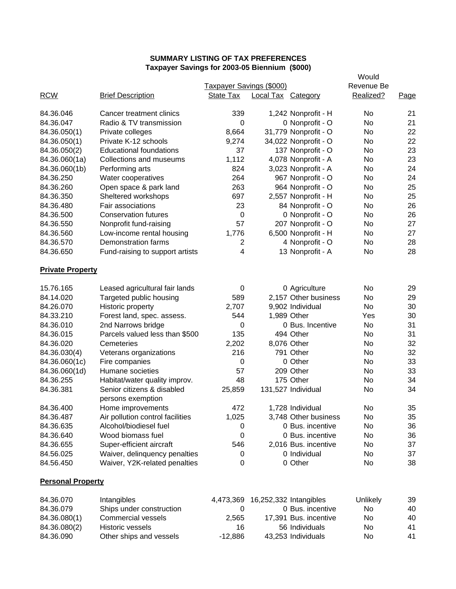|                          |                                  |                                 |                           |                      | Would      |      |
|--------------------------|----------------------------------|---------------------------------|---------------------------|----------------------|------------|------|
|                          |                                  | <b>Taxpayer Savings (\$000)</b> |                           |                      | Revenue Be |      |
| <b>RCW</b>               | <b>Brief Description</b>         | <b>State Tax</b>                | <b>Local Tax Category</b> |                      | Realized?  | Page |
|                          |                                  |                                 |                           |                      |            |      |
| 84.36.046                | Cancer treatment clinics         | 339                             |                           | 1,242 Nonprofit - H  | No         | 21   |
| 84.36.047                | Radio & TV transmission          | 0                               |                           | 0 Nonprofit - O      | No         | 21   |
| 84.36.050(1)             | Private colleges                 | 8,664                           |                           | 31,779 Nonprofit - O | No         | 22   |
| 84.36.050(1)             | Private K-12 schools             | 9,274                           |                           | 34,022 Nonprofit - O | No         | 22   |
| 84.36.050(2)             | <b>Educational foundations</b>   | 37                              |                           | 137 Nonprofit - O    | No         | 23   |
| 84.36.060(1a)            | Collections and museums          | 1,112                           |                           | 4,078 Nonprofit - A  | No         | 23   |
| 84.36.060(1b)            | Performing arts                  | 824                             |                           | 3,023 Nonprofit - A  | No         | 24   |
| 84.36.250                | Water cooperatives               | 264                             |                           | 967 Nonprofit - O    | No         | 24   |
| 84.36.260                | Open space & park land           | 263                             |                           | 964 Nonprofit - O    | No         | 25   |
| 84.36.350                | Sheltered workshops              | 697                             |                           | 2,557 Nonprofit - H  | No         | 25   |
| 84.36.480                | Fair associations                | 23                              |                           | 84 Nonprofit - O     | No         | 26   |
| 84.36.500                | <b>Conservation futures</b>      | 0                               |                           | 0 Nonprofit - O      | No         | 26   |
| 84.36.550                | Nonprofit fund-raising           | 57                              |                           | 207 Nonprofit - O    | No         | 27   |
| 84.36.560                | Low-income rental housing        | 1,776                           |                           | 6,500 Nonprofit - H  | No         | 27   |
| 84.36.570                | Demonstration farms              | $\overline{c}$                  |                           | 4 Nonprofit - O      | <b>No</b>  | 28   |
| 84.36.650                | Fund-raising to support artists  | 4                               |                           | 13 Nonprofit - A     | No         | 28   |
| <b>Private Property</b>  |                                  |                                 |                           |                      |            |      |
| 15.76.165                | Leased agricultural fair lands   | 0                               |                           | 0 Agriculture        | No         | 29   |
| 84.14.020                | Targeted public housing          | 589                             |                           | 2,157 Other business | No         | 29   |
| 84.26.070                | Historic property                | 2,707                           |                           | 9,902 Individual     | No         | 30   |
| 84.33.210                | Forest land, spec. assess.       | 544                             |                           | 1,989 Other          | Yes        | 30   |
| 84.36.010                | 2nd Narrows bridge               | 0                               |                           | 0 Bus. Incentive     | No         | 31   |
| 84.36.015                | Parcels valued less than \$500   | 135                             |                           | 494 Other            | No         | 31   |
| 84.36.020                | Cemeteries                       | 2,202                           |                           | 8,076 Other          | No         | 32   |
| 84.36.030(4)             | Veterans organizations           | 216                             |                           | 791 Other            | No         | 32   |
| 84.36.060(1c)            | Fire companies                   | 0                               |                           | 0 Other              | No         | 33   |
| 84.36.060(1d)            | Humane societies                 | 57                              |                           | 209 Other            | No         | 33   |
| 84.36.255                | Habitat/water quality improv.    | 48                              |                           | 175 Other            | No         | 34   |
| 84.36.381                | Senior citizens & disabled       | 25,859                          |                           | 131,527 Individual   | No         | 34   |
|                          | persons exemption                |                                 |                           |                      |            |      |
| 84.36.400                | Home improvements                | 472                             |                           | 1,728 Individual     | No         | 35   |
| 84.36.487                | Air pollution control facilities | 1,025                           |                           | 3,748 Other business | No         | 35   |
| 84.36.635                | Alcohol/biodiesel fuel           | 0                               |                           | 0 Bus. incentive     | No         | 36   |
| 84.36.640                | Wood biomass fuel                | 0                               |                           | 0 Bus. incentive     | No         | 36   |
| 84.36.655                | Super-efficient aircraft         | 546                             |                           | 2,016 Bus. incentive | No         | 37   |
| 84.56.025                | Waiver, delinquency penalties    | 0                               |                           | 0 Individual         | No         | 37   |
| 84.56.450                | Waiver, Y2K-related penalties    | 0                               |                           | 0 Other              | No         | 38   |
| <b>Personal Property</b> |                                  |                                 |                           |                      |            |      |

| 84.36.070    | Intangibles              |         | 4,473,369 16,252,332 Intangibles | Unlikely | 39 |
|--------------|--------------------------|---------|----------------------------------|----------|----|
| 84.36.079    | Ships under construction |         | 0 Bus. incentive                 | No       | 40 |
| 84.36.080(1) | Commercial vessels       | 2.565   | 17,391 Bus. incentive            | No       | 40 |
| 84.36.080(2) | Historic vessels         | 16      | 56 Individuals                   | No       | 41 |
| 84.36.090    | Other ships and vessels  | -12.886 | 43.253 Individuals               | No       | 41 |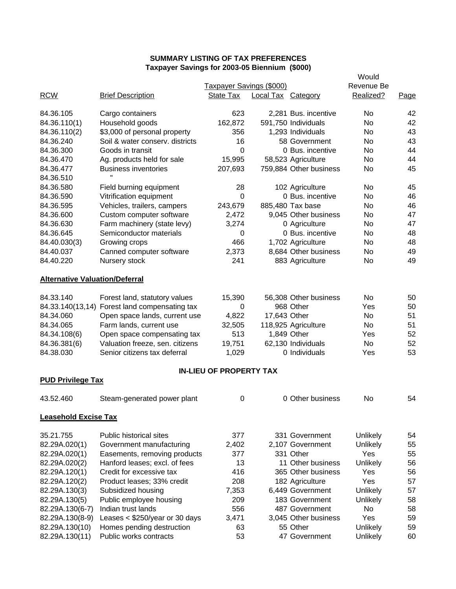|                                       | raxpayer Javings for 2003-03 Dieminum (\$000) |                                |                           |                        |                     |      |
|---------------------------------------|-----------------------------------------------|--------------------------------|---------------------------|------------------------|---------------------|------|
|                                       |                                               | Taxpayer Savings (\$000)       |                           |                        | Would<br>Revenue Be |      |
| <b>RCW</b>                            | <b>Brief Description</b>                      | State Tax                      | <b>Local Tax Category</b> |                        | Realized?           | Page |
| 84.36.105                             | Cargo containers                              | 623                            |                           | 2,281 Bus. incentive   | No                  | 42   |
| 84.36.110(1)                          | Household goods                               | 162,872                        |                           | 591,750 Individuals    | No                  | 42   |
| 84.36.110(2)                          | \$3,000 of personal property                  | 356                            |                           | 1,293 Individuals      | No                  | 43   |
| 84.36.240                             | Soil & water conserv. districts               | 16                             |                           | 58 Government          | No                  | 43   |
| 84.36.300                             | Goods in transit                              | 0                              |                           | 0 Bus. incentive       | No                  | 44   |
| 84.36.470                             | Ag. products held for sale                    | 15,995                         |                           | 58,523 Agriculture     | No                  | 44   |
| 84.36.477                             | <b>Business inventories</b>                   | 207,693                        |                           | 759,884 Other business | No                  | 45   |
| 84.36.510                             | π.                                            |                                |                           |                        |                     |      |
| 84.36.580                             | Field burning equipment                       | 28                             |                           | 102 Agriculture        | No                  | 45   |
| 84.36.590                             | Vitrification equipment                       | 0                              |                           | 0 Bus. incentive       | No                  | 46   |
| 84.36.595                             | Vehicles, trailers, campers                   | 243,679                        |                           | 885,480 Tax base       | No                  | 46   |
| 84.36.600                             | Custom computer software                      | 2,472                          |                           | 9,045 Other business   | No                  | 47   |
| 84.36.630                             | Farm machinery (state levy)                   | 3,274                          |                           | 0 Agriculture          | No                  | 47   |
| 84.36.645                             | Semiconductor materials                       | 0                              |                           | 0 Bus. incentive       | No                  | 48   |
| 84.40.030(3)                          | Growing crops                                 | 466                            |                           | 1,702 Agriculture      | No                  | 48   |
| 84.40.037                             | Canned computer software                      | 2,373                          |                           | 8,684 Other business   | No                  | 49   |
| 84.40.220                             | Nursery stock                                 | 241                            |                           | 883 Agriculture        | No                  | 49   |
| <b>Alternative Valuation/Deferral</b> |                                               |                                |                           |                        |                     |      |
| 84.33.140                             | Forest land, statutory values                 | 15,390                         |                           | 56,308 Other business  | No                  | 50   |
| 84.33.140(13,14)                      | Forest land compensating tax                  | 0                              |                           | 968 Other              | Yes                 | 50   |
| 84.34.060                             | Open space lands, current use                 | 4,822                          | 17,643 Other              |                        | No                  | 51   |
| 84.34.065                             | Farm lands, current use                       | 32,505                         |                           | 118,925 Agriculture    | No                  | 51   |
| 84.34.108(6)                          | Open space compensating tax                   | 513                            |                           | 1,849 Other            | Yes                 | 52   |
| 84.36.381(6)                          | Valuation freeze, sen. citizens               | 19,751                         |                           | 62,130 Individuals     | No                  | 52   |
| 84.38.030                             | Senior citizens tax deferral                  | 1,029                          |                           | 0 Individuals          | Yes                 | 53   |
|                                       |                                               | <b>IN-LIEU OF PROPERTY TAX</b> |                           |                        |                     |      |
| <b>PUD Privilege Tax</b>              |                                               |                                |                           |                        |                     |      |
| 43.52.460                             | Steam-generated power plant                   | 0                              |                           | 0 Other business       | No                  | 54   |
| <b>Leasehold Excise Tax</b>           |                                               |                                |                           |                        |                     |      |
| 35.21.755                             | Public historical sites                       | 377                            |                           | 331 Government         | Unlikely            | 54   |
| 82.29A.020(1)                         | Government manufacturing                      | 2,402                          |                           | 2,107 Government       | Unlikely            | 55   |
| 82.29A.020(1)                         | Easements, removing products                  | 377                            |                           | 331 Other              | Yes                 | 55   |
| 82.29A.020(2)                         | Hanford leases; excl. of fees                 | 13                             |                           | 11 Other business      | Unlikely            | 56   |
| 82.29A.120(1)                         | Credit for excessive tax                      | 416                            |                           | 365 Other business     | Yes                 | 56   |
| 82.29A.120(2)                         | Product leases; 33% credit                    | 208                            |                           | 182 Agriculture        | Yes                 | 57   |
| 82.29A.130(3)                         | Subsidized housing                            | 7,353                          |                           | 6,449 Government       | <b>Unlikely</b>     | 57   |
| 82.29A.130(5)                         | Public employee housing                       | 209                            |                           | 183 Government         | Unlikely            | 58   |
| 82.29A.130(6-7)                       | Indian trust lands                            | 556                            |                           | 487 Government         | No                  | 58   |
| 82.29A.130(8-9)                       | Leases $<$ \$250/year or 30 days              | 3,471                          |                           | 3,045 Other business   | Yes                 | 59   |
| 82.29A.130(10)                        | Homes pending destruction                     | 63                             |                           | 55 Other               | Unlikely            | 59   |
| 82.29A.130(11)                        | Public works contracts                        | 53                             |                           | 47 Government          | Unlikely            | 60   |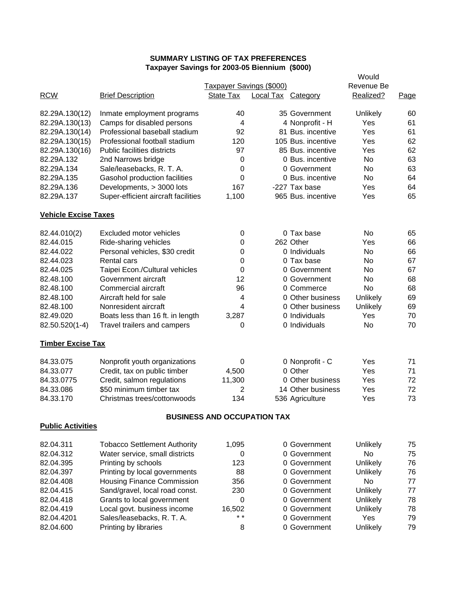|                             | axpayor Javings for 2003-03 Dictimum (\$000) |                                    |                           |                    | Would      |      |
|-----------------------------|----------------------------------------------|------------------------------------|---------------------------|--------------------|------------|------|
|                             |                                              | Taxpayer Savings (\$000)           |                           |                    | Revenue Be |      |
| <b>RCW</b>                  | <b>Brief Description</b>                     | State Tax                          | <b>Local Tax Category</b> |                    | Realized?  | Page |
| 82.29A.130(12)              | Inmate employment programs                   | 40                                 |                           | 35 Government      | Unlikely   | 60   |
| 82.29A.130(13)              | Camps for disabled persons                   | 4                                  |                           | 4 Nonprofit - H    | Yes        | 61   |
| 82.29A.130(14)              | Professional baseball stadium                | 92                                 |                           | 81 Bus. incentive  | Yes        | 61   |
| 82.29A.130(15)              | Professional football stadium                | 120                                |                           | 105 Bus. incentive | Yes        | 62   |
| 82.29A.130(16)              | Public facilities districts                  | 97                                 |                           | 85 Bus. incentive  | Yes        | 62   |
| 82.29A.132                  | 2nd Narrows bridge                           | 0                                  |                           | 0 Bus. incentive   | No.        | 63   |
| 82.29A.134                  | Sale/leasebacks, R. T. A.                    | 0                                  |                           | 0 Government       | No         | 63   |
| 82.29A.135                  | Gasohol production facilities                | 0                                  |                           | 0 Bus. incentive   | No.        | 64   |
| 82.29A.136                  | Developments, > 3000 lots                    | 167                                |                           | -227 Tax base      | Yes        | 64   |
| 82.29A.137                  | Super-efficient aircraft facilities          | 1,100                              |                           | 965 Bus. incentive | Yes        | 65   |
| <b>Vehicle Excise Taxes</b> |                                              |                                    |                           |                    |            |      |
| 82.44.010(2)                | Excluded motor vehicles                      | 0                                  |                           | 0 Tax base         | No         | 65   |
| 82.44.015                   | Ride-sharing vehicles                        | 0                                  |                           | 262 Other          | Yes        | 66   |
| 82.44.022                   | Personal vehicles, \$30 credit               | 0                                  |                           | 0 Individuals      | No         | 66   |
| 82.44.023                   | <b>Rental cars</b>                           | 0                                  |                           | 0 Tax base         | No         | 67   |
| 82.44.025                   | Taipei Econ./Cultural vehicles               | 0                                  |                           | 0 Government       | <b>No</b>  | 67   |
| 82.48.100                   | Government aircraft                          | 12                                 |                           | 0 Government       | <b>No</b>  | 68   |
| 82.48.100                   | Commercial aircraft                          | 96                                 |                           | 0 Commerce         | No         | 68   |
| 82.48.100                   | Aircraft held for sale                       | 4                                  |                           | 0 Other business   | Unlikely   | 69   |
| 82.48.100                   | Nonresident aircraft                         | 4                                  |                           | 0 Other business   | Unlikely   | 69   |
| 82.49.020                   | Boats less than 16 ft. in length             | 3,287                              |                           | 0 Individuals      | Yes        | 70   |
| 82.50.520(1-4)              | Travel trailers and campers                  | 0                                  |                           | 0 Individuals      | No         | 70   |
| <b>Timber Excise Tax</b>    |                                              |                                    |                           |                    |            |      |
| 84.33.075                   | Nonprofit youth organizations                | 0                                  |                           | 0 Nonprofit - C    | Yes        | 71   |
| 84.33.077                   | Credit, tax on public timber                 | 4,500                              |                           | 0 Other            | Yes        | 71   |
| 84.33.0775                  | Credit, salmon regulations                   | 11,300                             |                           | 0 Other business   | Yes        | 72   |
| 84.33.086                   | \$50 minimum timber tax                      | 2                                  |                           | 14 Other business  | Yes        | 72   |
| 84.33.170                   | Christmas trees/cottonwoods                  | 134                                |                           | 536 Agriculture    | Yes        | 73   |
|                             |                                              | <b>BUSINESS AND OCCUPATION TAX</b> |                           |                    |            |      |
| <b>Public Activities</b>    |                                              |                                    |                           |                    |            |      |
| 82.04.311                   | <b>Tobacco Settlement Authority</b>          | 1,095                              |                           | 0 Government       | Unlikely   | 75   |
| 82.04.312                   | Water service, small districts               | 0                                  |                           | 0 Government       | No         | 75   |
| 82.04.395                   | Printing by schools                          | 123                                |                           | 0 Government       | Unlikely   | 76   |
| 82.04.397                   | Printing by local governments                | 88                                 |                           | 0 Government       | Unlikely   | 76   |
| 82.04.408                   | <b>Housing Finance Commission</b>            | 356                                |                           | 0 Government       | No         | 77   |
| 82.04.415                   | Sand/gravel, local road const.               | 230                                |                           | 0 Government       | Unlikely   | 77   |
| 82.04.418                   | Grants to local government                   | 0                                  |                           | 0 Government       | Unlikely   | 78   |
| 82.04.419                   | Local govt. business income                  | 16,502                             |                           | 0 Government       | Unlikely   | 78   |
| 82.04.4201                  | Sales/leasebacks, R. T. A.                   | $\star$ $\star$                    |                           | 0 Government       | Yes        | 79   |
| 82.04.600                   | Printing by libraries                        | 8                                  |                           | 0 Government       | Unlikely   | 79   |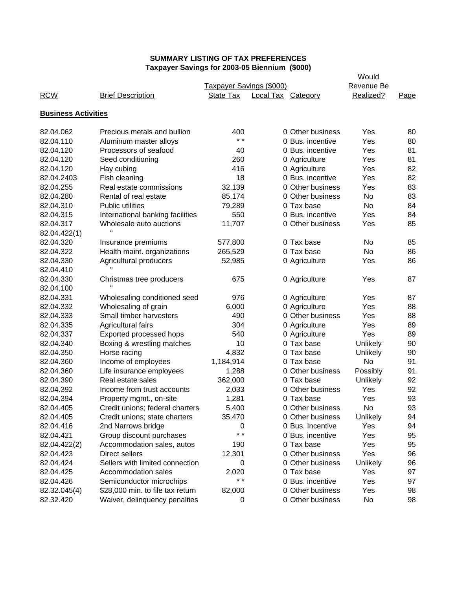|                            |                                  | <b>Davings for Z000-00 Dictionally (\$000)</b> |                    |                  | Would      |      |
|----------------------------|----------------------------------|------------------------------------------------|--------------------|------------------|------------|------|
|                            |                                  | Taxpayer Savings (\$000)                       |                    |                  | Revenue Be |      |
| <b>RCW</b>                 | <b>Brief Description</b>         | State Tax                                      | Local Tax Category |                  | Realized?  | Page |
|                            |                                  |                                                |                    |                  |            |      |
| <b>Business Activities</b> |                                  |                                                |                    |                  |            |      |
| 82.04.062                  | Precious metals and bullion      | 400                                            |                    | 0 Other business | Yes        | 80   |
| 82.04.110                  | Aluminum master alloys           | $* *$                                          |                    | 0 Bus. incentive | Yes        | 80   |
| 82.04.120                  | Processors of seafood            | 40                                             |                    | 0 Bus. incentive | Yes        | 81   |
| 82.04.120                  | Seed conditioning                | 260                                            |                    | 0 Agriculture    | Yes        | 81   |
| 82.04.120                  | Hay cubing                       | 416                                            |                    | 0 Agriculture    | Yes        | 82   |
| 82.04.2403                 | Fish cleaning                    | 18                                             |                    | 0 Bus. incentive | Yes        | 82   |
| 82.04.255                  | Real estate commissions          | 32,139                                         |                    | 0 Other business | Yes        | 83   |
| 82.04.280                  | Rental of real estate            | 85,174                                         |                    | 0 Other business | <b>No</b>  | 83   |
| 82.04.310                  | <b>Public utilities</b>          | 79,289                                         |                    | 0 Tax base       | <b>No</b>  | 84   |
| 82.04.315                  | International banking facilities | 550                                            |                    | 0 Bus. incentive | Yes        | 84   |
| 82.04.317                  | Wholesale auto auctions          | 11,707                                         |                    | 0 Other business | Yes        | 85   |
| 82.04.422(1)               | H.                               |                                                |                    |                  |            |      |
| 82.04.320                  | Insurance premiums               | 577,800                                        |                    | 0 Tax base       | No         | 85   |
| 82.04.322                  | Health maint. organizations      | 265,529                                        |                    | 0 Tax base       | <b>No</b>  | 86   |
| 82.04.330                  | Agricultural producers           | 52,985                                         |                    | 0 Agriculture    | Yes        | 86   |
| 82.04.410                  |                                  |                                                |                    |                  |            |      |
| 82.04.330                  | Christmas tree producers         | 675                                            |                    | 0 Agriculture    | Yes        | 87   |
| 82.04.100                  |                                  |                                                |                    |                  |            |      |
| 82.04.331                  | Wholesaling conditioned seed     | 976                                            |                    | 0 Agriculture    | Yes        | 87   |
| 82.04.332                  | Wholesaling of grain             | 6,000                                          |                    | 0 Agriculture    | Yes        | 88   |
| 82.04.333                  | Small timber harvesters          | 490                                            |                    | 0 Other business | Yes        | 88   |
| 82.04.335                  | Agricultural fairs               | 304                                            |                    | 0 Agriculture    | Yes        | 89   |
| 82.04.337                  | Exported processed hops          | 540                                            |                    | 0 Agriculture    | Yes        | 89   |
| 82.04.340                  | Boxing & wrestling matches       | 10                                             |                    | 0 Tax base       | Unlikely   | 90   |
| 82.04.350                  | Horse racing                     | 4,832                                          |                    | 0 Tax base       | Unlikely   | 90   |
| 82.04.360                  | Income of employees              | 1,184,914                                      |                    | 0 Tax base       | No         | 91   |
| 82.04.360                  | Life insurance employees         | 1,288                                          |                    | 0 Other business | Possibly   | 91   |
| 82.04.390                  | Real estate sales                | 362,000                                        |                    | 0 Tax base       | Unlikely   | 92   |
| 82.04.392                  | Income from trust accounts       | 2,033                                          |                    | 0 Other business | Yes        | 92   |
| 82.04.394                  | Property mgmt., on-site          | 1,281                                          |                    | 0 Tax base       | Yes        | 93   |
| 82.04.405                  | Credit unions; federal charters  | 5,400                                          |                    | 0 Other business | No         | 93   |
| 82.04.405                  | Credit unions; state charters    | 35,470                                         |                    | 0 Other business | Unlikely   | 94   |
| 82.04.416                  | 2nd Narrows bridge               | 0                                              |                    | 0 Bus. Incentive | Yes        | 94   |
| 82.04.421                  | Group discount purchases         | $* *$                                          |                    | 0 Bus. incentive | Yes        | 95   |
| 82.04.422(2)               | Accommodation sales, autos       | 190                                            |                    | 0 Tax base       | Yes        | 95   |
| 82.04.423                  | Direct sellers                   | 12,301                                         |                    | 0 Other business | Yes        | 96   |
| 82.04.424                  | Sellers with limited connection  | 0                                              |                    | 0 Other business | Unlikely   | 96   |
| 82.04.425                  | Accommodation sales              | 2,020                                          |                    | 0 Tax base       | Yes        | 97   |
| 82.04.426                  | Semiconductor microchips         | $* *$                                          |                    | 0 Bus. incentive | Yes        | 97   |
| 82.32.045(4)               | \$28,000 min. to file tax return | 82,000                                         |                    | 0 Other business | Yes        | 98   |
| 82.32.420                  |                                  |                                                |                    | 0 Other business |            |      |
|                            | Waiver, delinquency penalties    | 0                                              |                    |                  | No         | 98   |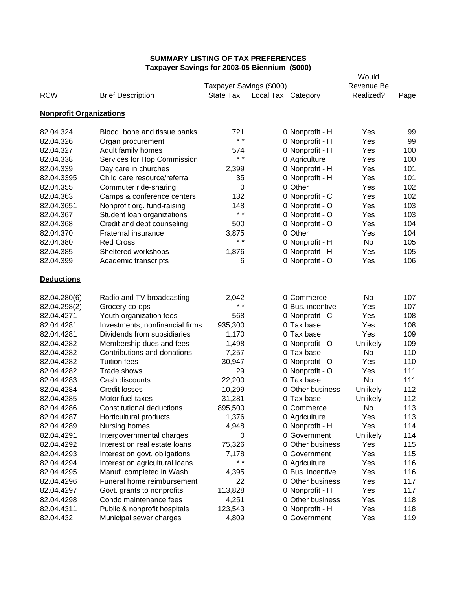|                                |                                  |                          |                           |                  | Would      |      |
|--------------------------------|----------------------------------|--------------------------|---------------------------|------------------|------------|------|
|                                |                                  | Taxpayer Savings (\$000) |                           |                  | Revenue Be |      |
| <b>RCW</b>                     | <b>Brief Description</b>         | <b>State Tax</b>         | <b>Local Tax Category</b> |                  | Realized?  | Page |
| <b>Nonprofit Organizations</b> |                                  |                          |                           |                  |            |      |
| 82.04.324                      | Blood, bone and tissue banks     | 721                      |                           | 0 Nonprofit - H  | Yes        | 99   |
| 82.04.326                      | Organ procurement                | $* *$                    |                           | 0 Nonprofit - H  | Yes        | 99   |
| 82.04.327                      | Adult family homes               | 574                      |                           | 0 Nonprofit - H  | Yes        | 100  |
| 82.04.338                      | Services for Hop Commission      | $* *$                    |                           | 0 Agriculture    | Yes        | 100  |
| 82.04.339                      | Day care in churches             | 2,399                    |                           | 0 Nonprofit - H  | Yes        | 101  |
| 82.04.3395                     | Child care resource/referral     | 35                       |                           | 0 Nonprofit - H  | Yes        | 101  |
| 82.04.355                      | Commuter ride-sharing            | 0                        |                           | 0 Other          | Yes        | 102  |
| 82.04.363                      | Camps & conference centers       | 132                      |                           | 0 Nonprofit - C  | Yes        | 102  |
| 82.04.3651                     | Nonprofit org. fund-raising      | 148                      |                           | 0 Nonprofit - O  | Yes        | 103  |
| 82.04.367                      | Student loan organizations       | $* *$                    |                           | 0 Nonprofit - O  | Yes        | 103  |
| 82.04.368                      | Credit and debt counseling       | 500                      |                           | 0 Nonprofit - O  | Yes        | 104  |
| 82.04.370                      | Fraternal insurance              | 3,875                    |                           | 0 Other          | Yes        | 104  |
| 82.04.380                      | <b>Red Cross</b>                 | $* *$                    |                           | 0 Nonprofit - H  | No.        | 105  |
| 82.04.385                      | Sheltered workshops              | 1,876                    |                           | 0 Nonprofit - H  | Yes        | 105  |
| 82.04.399                      | Academic transcripts             | 6                        |                           | 0 Nonprofit - O  | Yes        | 106  |
| <b>Deductions</b>              |                                  |                          |                           |                  |            |      |
| 82.04.280(6)                   | Radio and TV broadcasting        | 2,042                    |                           | 0 Commerce       | No         | 107  |
| 82.04.298(2)                   | Grocery co-ops                   | $* *$                    |                           | 0 Bus. incentive | Yes        | 107  |
| 82.04.4271                     | Youth organization fees          | 568                      |                           | 0 Nonprofit - C  | Yes        | 108  |
| 82.04.4281                     | Investments, nonfinancial firms  | 935,300                  |                           | 0 Tax base       | Yes        | 108  |
| 82.04.4281                     | Dividends from subsidiaries      | 1,170                    |                           | 0 Tax base       | Yes        | 109  |
| 82.04.4282                     | Membership dues and fees         | 1,498                    |                           | 0 Nonprofit - O  | Unlikely   | 109  |
| 82.04.4282                     | Contributions and donations      | 7,257                    |                           | 0 Tax base       | No         | 110  |
| 82.04.4282                     | <b>Tuition fees</b>              | 30,947                   |                           | 0 Nonprofit - O  | Yes        | 110  |
| 82.04.4282                     | Trade shows                      | 29                       |                           | 0 Nonprofit - O  | Yes        | 111  |
| 82.04.4283                     | Cash discounts                   | 22,200                   |                           | 0 Tax base       | No         | 111  |
| 82.04.4284                     | <b>Credit losses</b>             | 10,299                   |                           | 0 Other business | Unlikely   | 112  |
| 82.04.4285                     | Motor fuel taxes                 | 31,281                   |                           | 0 Tax base       | Unlikely   | 112  |
| 82.04.4286                     | <b>Constitutional deductions</b> | 895,500                  |                           | 0 Commerce       | No         | 113  |
| 82.04.4287                     | Horticultural products           | 1,376                    |                           | 0 Agriculture    | Yes        | 113  |
| 82.04.4289                     | Nursing homes                    | 4,948                    |                           | 0 Nonprofit - H  | Yes        | 114  |
| 82.04.4291                     | Intergovernmental charges        | 0                        |                           | 0 Government     | Unlikely   | 114  |
| 82.04.4292                     | Interest on real estate loans    | 75,326                   |                           | 0 Other business | Yes        | 115  |
| 82.04.4293                     | Interest on govt. obligations    | 7,178                    |                           | 0 Government     | Yes        | 115  |
| 82.04.4294                     | Interest on agricultural loans   | $\star$ $\star$          |                           | 0 Agriculture    | Yes        | 116  |
| 82.04.4295                     | Manuf. completed in Wash.        | 4,395                    |                           | 0 Bus. incentive | Yes        | 116  |
| 82.04.4296                     | Funeral home reimbursement       | 22                       |                           | 0 Other business | Yes        | 117  |
| 82.04.4297                     | Govt. grants to nonprofits       | 113,828                  |                           | 0 Nonprofit - H  | Yes        | 117  |
| 82.04.4298                     | Condo maintenance fees           | 4,251                    |                           | 0 Other business | Yes        | 118  |
| 82.04.4311                     | Public & nonprofit hospitals     | 123,543                  |                           | 0 Nonprofit - H  | Yes        | 118  |
| 82.04.432                      | Municipal sewer charges          | 4,809                    |                           | 0 Government     | Yes        | 119  |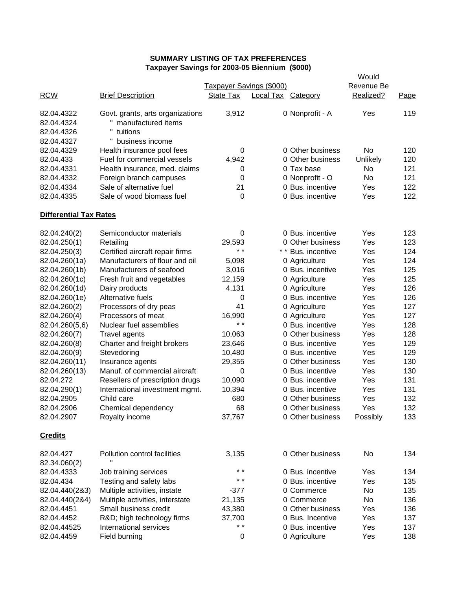|                                                      |                                                                                                    |                          | Would              |                    |            |      |
|------------------------------------------------------|----------------------------------------------------------------------------------------------------|--------------------------|--------------------|--------------------|------------|------|
|                                                      |                                                                                                    | Taxpayer Savings (\$000) |                    |                    | Revenue Be |      |
| <b>RCW</b>                                           | <b>Brief Description</b>                                                                           | State Tax                | Local Tax Category |                    | Realized?  | Page |
| 82.04.4322<br>82.04.4324<br>82.04.4326<br>82.04.4327 | Govt. grants, arts organizations<br>" manufactured items<br>н.<br>tuitions<br>H<br>business income | 3,912                    |                    | 0 Nonprofit - A    | Yes        | 119  |
| 82.04.4329                                           | Health insurance pool fees                                                                         | 0                        |                    | 0 Other business   | No         | 120  |
| 82.04.433                                            | Fuel for commercial vessels                                                                        | 4,942                    |                    | 0 Other business   | Unlikely   | 120  |
| 82.04.4331                                           | Health insurance, med. claims                                                                      | 0                        |                    | 0 Tax base         | No         | 121  |
| 82.04.4332                                           | Foreign branch campuses                                                                            | 0                        |                    | 0 Nonprofit - O    | No         | 121  |
| 82.04.4334                                           | Sale of alternative fuel                                                                           | 21                       |                    | 0 Bus. incentive   | Yes        | 122  |
| 82.04.4335                                           | Sale of wood biomass fuel                                                                          | 0                        |                    | 0 Bus. incentive   | Yes        | 122  |
| <b>Differential Tax Rates</b>                        |                                                                                                    |                          |                    |                    |            |      |
| 82.04.240(2)                                         | Semiconductor materials                                                                            | 0                        |                    | 0 Bus. incentive   | Yes        | 123  |
| 82.04.250(1)                                         | Retailing                                                                                          | 29,593                   |                    | 0 Other business   | Yes        | 123  |
| 82.04.250(3)                                         | Certified aircraft repair firms                                                                    | $* *$                    |                    | * * Bus. incentive | Yes        | 124  |
| 82.04.260(1a)                                        | Manufacturers of flour and oil                                                                     | 5,098                    |                    | 0 Agriculture      | Yes        | 124  |
| 82.04.260(1b)                                        | Manufacturers of seafood                                                                           | 3,016                    |                    | 0 Bus. incentive   | Yes        | 125  |
| 82.04.260(1c)                                        | Fresh fruit and vegetables                                                                         | 12,159                   |                    | 0 Agriculture      | Yes        | 125  |
| 82.04.260(1d)                                        | Dairy products                                                                                     | 4,131                    |                    | 0 Agriculture      | Yes        | 126  |
| 82.04.260(1e)                                        | Alternative fuels                                                                                  | 0                        |                    | 0 Bus. incentive   | Yes        | 126  |
| 82.04.260(2)                                         | Processors of dry peas                                                                             | 41                       |                    | 0 Agriculture      | Yes        | 127  |
| 82.04.260(4)                                         | Processors of meat                                                                                 | 16,990                   |                    | 0 Agriculture      | Yes        | 127  |
| 82.04.260(5,6)                                       | Nuclear fuel assemblies                                                                            | $* *$                    |                    | 0 Bus. incentive   | Yes        | 128  |
| 82.04.260(7)                                         | <b>Travel agents</b>                                                                               | 10,063                   |                    | 0 Other business   | Yes        | 128  |
| 82.04.260(8)                                         | Charter and freight brokers                                                                        | 23,646                   |                    | 0 Bus. incentive   | Yes        | 129  |
| 82.04.260(9)                                         | Stevedoring                                                                                        | 10,480                   |                    | 0 Bus. incentive   | Yes        | 129  |
| 82.04.260(11)                                        | Insurance agents                                                                                   | 29,355                   |                    | 0 Other business   | Yes        | 130  |
| 82.04.260(13)                                        | Manuf. of commercial aircraft                                                                      | 0                        |                    | 0 Bus. incentive   | Yes        | 130  |
| 82.04.272                                            | Resellers of prescription drugs                                                                    | 10,090                   |                    | 0 Bus. incentive   | Yes        | 131  |
| 82.04.290(1)                                         | International investment mgmt.                                                                     | 10,394                   |                    | 0 Bus. incentive   | Yes        | 131  |
| 82.04.2905                                           | Child care                                                                                         | 680                      |                    | 0 Other business   | Yes        | 132  |
| 82.04.2906                                           | Chemical dependency                                                                                | 68                       |                    | 0 Other business   | Yes        | 132  |
| 82.04.2907                                           | Royalty income                                                                                     | 37,767                   |                    | 0 Other business   | Possibly   | 133  |
| <b>Credits</b>                                       |                                                                                                    |                          |                    |                    |            |      |
| 82.04.427<br>82.34.060(2)                            | Pollution control facilities                                                                       | 3,135                    |                    | 0 Other business   | No         | 134  |
| 82.04.4333                                           | Job training services                                                                              | $* *$                    |                    | 0 Bus. incentive   | Yes        | 134  |
| 82.04.434                                            | Testing and safety labs                                                                            | $* *$                    |                    | 0 Bus. incentive   | Yes        | 135  |
| 82.04.440(2&3)                                       | Multiple activities, instate                                                                       | $-377$                   |                    | 0 Commerce         | No.        | 135  |
| 82.04.440(2&4)                                       | Multiple activities, interstate                                                                    | 21,135                   |                    | 0 Commerce         | No         | 136  |
| 82.04.4451                                           | Small business credit                                                                              | 43,380                   |                    | 0 Other business   | Yes        | 136  |
| 82.04.4452                                           | R&D high technology firms                                                                          | 37,700                   |                    | 0 Bus. Incentive   | Yes        | 137  |
| 82.04.44525                                          | International services                                                                             | * *                      |                    | 0 Bus. incentive   | Yes        | 137  |
| 82.04.4459                                           | Field burning                                                                                      | 0                        |                    | 0 Agriculture      | Yes        | 138  |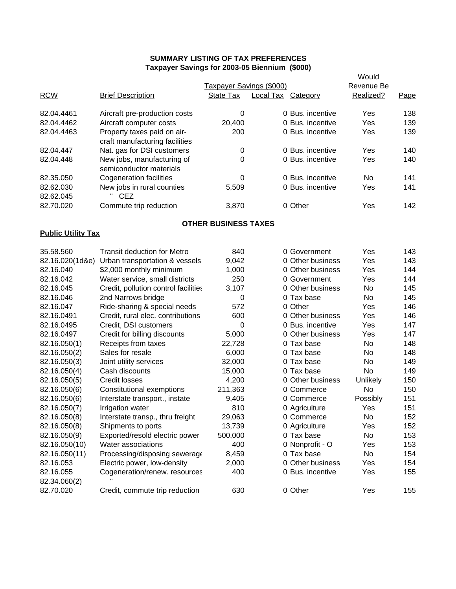|                           |                                                       |                                 |                           |                  | Would      |      |
|---------------------------|-------------------------------------------------------|---------------------------------|---------------------------|------------------|------------|------|
|                           |                                                       | <b>Taxpayer Savings (\$000)</b> |                           |                  | Revenue Be |      |
| <b>RCW</b>                | <b>Brief Description</b>                              | State Tax                       | <b>Local Tax Category</b> |                  | Realized?  | Page |
| 82.04.4461                | Aircraft pre-production costs                         | 0                               |                           | 0 Bus. incentive | Yes        | 138  |
| 82.04.4462                | Aircraft computer costs                               | 20,400                          |                           | 0 Bus. incentive | Yes        | 139  |
| 82.04.4463                | Property taxes paid on air-                           | 200                             |                           | 0 Bus. incentive | Yes        | 139  |
|                           | craft manufacturing facilities                        |                                 |                           |                  |            |      |
| 82.04.447                 | Nat. gas for DSI customers                            | 0                               |                           | 0 Bus. incentive | Yes        | 140  |
| 82.04.448                 | New jobs, manufacturing of<br>semiconductor materials | 0                               |                           | 0 Bus. incentive | Yes        | 140  |
| 82.35.050                 | <b>Cogeneration facilities</b>                        | 0                               |                           | 0 Bus. incentive | No.        | 141  |
| 82.62.030                 | New jobs in rural counties                            | 5,509                           |                           | 0 Bus. incentive | Yes        | 141  |
| 82.62.045                 | " CEZ                                                 |                                 |                           |                  |            |      |
| 82.70.020                 | Commute trip reduction                                | 3,870                           |                           | 0 Other          | Yes        | 142  |
|                           |                                                       | <b>OTHER BUSINESS TAXES</b>     |                           |                  |            |      |
| <b>Public Utility Tax</b> |                                                       |                                 |                           |                  |            |      |
| 35.58.560                 | <b>Transit deduction for Metro</b>                    | 840                             |                           | 0 Government     | Yes        | 143  |
| 82.16.020(1d&e)           | Urban transportation & vessels                        | 9,042                           |                           | 0 Other business | Yes        | 143  |
| 82.16.040                 | \$2,000 monthly minimum                               | 1,000                           |                           | 0 Other business | Yes        | 144  |
| 82.16.042                 | Water service, small districts                        | 250                             |                           | 0 Government     | Yes        | 144  |
| 82.16.045                 | Credit, pollution control facilities                  | 3,107                           |                           | 0 Other business | No.        | 145  |
| 82.16.046                 | 2nd Narrows bridge                                    | 0                               |                           | 0 Tax base       | No.        | 145  |
| 82.16.047                 | Ride-sharing & special needs                          | 572                             |                           | 0 Other          | Yes        | 146  |
| 82.16.0491                | Credit, rural elec. contributions                     | 600                             |                           | 0 Other business | Yes        | 146  |
| 82.16.0495                | Credit, DSI customers                                 | 0                               |                           | 0 Bus. incentive | Yes        | 147  |
| 82.16.0497                | Credit for billing discounts                          | 5,000                           |                           | 0 Other business | Yes        | 147  |
| 82.16.050(1)              | Receipts from taxes                                   | 22,728                          |                           | 0 Tax base       | No         | 148  |
| 82.16.050(2)              | Sales for resale                                      | 6,000                           |                           | 0 Tax base       | No         | 148  |
| 82.16.050(3)              | Joint utility services                                | 32,000                          |                           | 0 Tax base       | No         | 149  |
| 82.16.050(4)              | Cash discounts                                        | 15,000                          |                           | 0 Tax base       | No         | 149  |
| 82.16.050(5)              | <b>Credit losses</b>                                  | 4,200                           |                           | 0 Other business | Unlikely   | 150  |
| 82.16.050(6)              | Constitutional exemptions                             | 211,363                         |                           | 0 Commerce       | No         | 150  |
| 82.16.050(6)              | Interstate transport., instate                        | 9,405                           |                           | 0 Commerce       | Possibly   | 151  |
| 82.16.050(7)              | Irrigation water                                      | 810                             |                           | 0 Agriculture    | Yes        | 151  |
| 82.16.050(8)              | Interstate transp., thru freight                      | 29,063                          |                           | 0 Commerce       | No         | 152  |
| 82.16.050(8)              | Shipments to ports                                    | 13,739                          |                           | 0 Agriculture    | Yes        | 152  |
| 82.16.050(9)              | Exported/resold electric power                        | 500,000                         |                           | 0 Tax base       | No         | 153  |
| 82.16.050(10)             | Water associations                                    | 400                             |                           | 0 Nonprofit - O  | Yes        | 153  |
| 82.16.050(11)             | Processing/disposing sewerage                         | 8,459                           |                           | 0 Tax base       | No         | 154  |
| 82.16.053                 | Electric power, low-density                           | 2,000                           |                           | 0 Other business | Yes        | 154  |
| 82.16.055                 | Cogeneration/renew. resources                         | 400                             |                           | 0 Bus. incentive | Yes        | 155  |
| 92.34.060(2)              |                                                       |                                 |                           |                  |            |      |

82.70.020 Credit, commute trip reduction 630 0 Other Yes 155

82.34.060(2)<br>82.70.020 Credit, commute trip reduction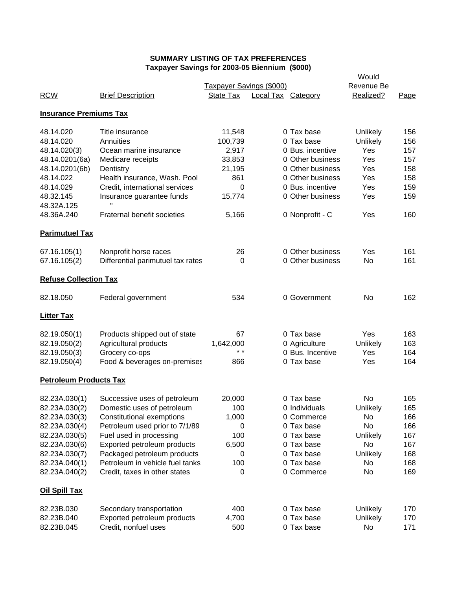|                               | raxpayer Javings for 2003-03 Dieminum (\$000) |                          | Would              |                  |            |      |
|-------------------------------|-----------------------------------------------|--------------------------|--------------------|------------------|------------|------|
|                               |                                               | Taxpayer Savings (\$000) |                    |                  | Revenue Be |      |
| <b>RCW</b>                    | <b>Brief Description</b>                      | State Tax                | Local Tax Category |                  | Realized?  | Page |
| <b>Insurance Premiums Tax</b> |                                               |                          |                    |                  |            |      |
| 48.14.020                     | Title insurance                               | 11,548                   |                    | 0 Tax base       | Unlikely   | 156  |
| 48.14.020                     | Annuities                                     | 100,739                  |                    | 0 Tax base       | Unlikely   | 156  |
| 48.14.020(3)                  | Ocean marine insurance                        | 2,917                    |                    | 0 Bus. incentive | Yes        | 157  |
| 48.14.0201(6a)                | Medicare receipts                             | 33,853                   |                    | 0 Other business | Yes        | 157  |
| 48.14.0201(6b)                | Dentistry                                     | 21,195                   |                    | 0 Other business | Yes        | 158  |
| 48.14.022                     | Health insurance, Wash. Pool                  | 861                      |                    | 0 Other business | Yes        | 158  |
| 48.14.029                     | Credit, international services                | 0                        |                    | 0 Bus. incentive | Yes        | 159  |
| 48.32.145                     | Insurance guarantee funds                     | 15,774                   |                    | 0 Other business | Yes        | 159  |
| 48.32A.125                    | Ħ                                             |                          |                    |                  |            |      |
| 48.36A.240                    | Fraternal benefit societies                   | 5,166                    |                    | 0 Nonprofit - C  | Yes        | 160  |
| <b>Parimutuel Tax</b>         |                                               |                          |                    |                  |            |      |
| 67.16.105(1)                  | Nonprofit horse races                         | 26                       |                    | 0 Other business | Yes        | 161  |
| 67.16.105(2)                  | Differential parimutuel tax rates             | $\Omega$                 |                    | 0 Other business | No.        | 161  |
| <b>Refuse Collection Tax</b>  |                                               |                          |                    |                  |            |      |
| 82.18.050                     | Federal government                            | 534                      |                    | 0 Government     | No         | 162  |
| <b>Litter Tax</b>             |                                               |                          |                    |                  |            |      |
| 82.19.050(1)                  | Products shipped out of state                 | 67                       |                    | 0 Tax base       | Yes        | 163  |
| 82.19.050(2)                  | Agricultural products                         | 1,642,000                |                    | 0 Agriculture    | Unlikely   | 163  |
| 82.19.050(3)                  | Grocery co-ops                                | $\star$ $\star$          |                    | 0 Bus. Incentive | Yes        | 164  |
| 82.19.050(4)                  | Food & beverages on-premises                  | 866                      |                    | 0 Tax base       | Yes        | 164  |
| <b>Petroleum Products Tax</b> |                                               |                          |                    |                  |            |      |
| 82.23A.030(1)                 | Successive uses of petroleum                  | 20,000                   |                    | 0 Tax base       | No         | 165  |
| 82.23A.030(2)                 | Domestic uses of petroleum                    | 100                      |                    | 0 Individuals    | Unlikely   | 165  |
| 82.23A.030(3)                 | Constitutional exemptions                     | 1,000                    |                    | 0 Commerce       | No         | 166  |
| 82.23A.030(4)                 | Petroleum used prior to 7/1/89                | 0                        |                    | 0 Tax base       | No         | 166  |
| 82.23A.030(5)                 | Fuel used in processing                       | 100                      |                    | 0 Tax base       | Unlikely   | 167  |
| 82.23A.030(6)                 | Exported petroleum products                   | 6,500                    |                    | 0 Tax base       | No         | 167  |
| 82.23A.030(7)                 | Packaged petroleum products                   | 0                        |                    | 0 Tax base       | Unlikely   | 168  |
| 82.23A.040(1)                 | Petroleum in vehicle fuel tanks               | 100                      |                    | 0 Tax base       | No         | 168  |
| 82.23A.040(2)                 | Credit, taxes in other states                 | 0                        |                    | 0 Commerce       | No         | 169  |
| <b>Oil Spill Tax</b>          |                                               |                          |                    |                  |            |      |
| 82.23B.030                    | Secondary transportation                      | 400                      |                    | 0 Tax base       | Unlikely   | 170  |
| 82.23B.040                    | Exported petroleum products                   | 4,700                    |                    | 0 Tax base       | Unlikely   | 170  |
| 82.23B.045                    | Credit, nonfuel uses                          | 500                      |                    | 0 Tax base       | No         | 171  |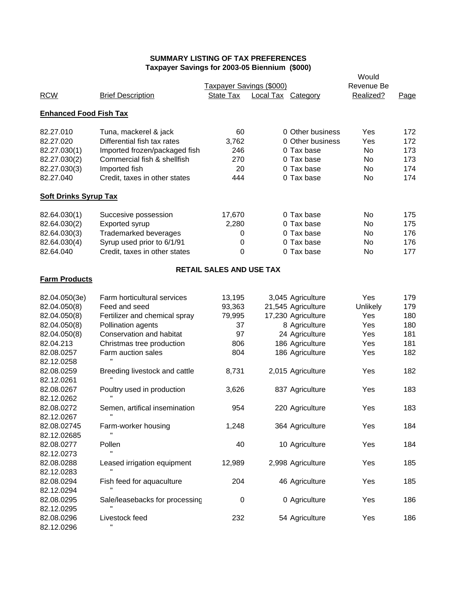|                               | . axpayor oavings for zoos-os Biomnam (φοσο) |                                 | Would                     |                    |            |      |
|-------------------------------|----------------------------------------------|---------------------------------|---------------------------|--------------------|------------|------|
|                               |                                              | Taxpayer Savings (\$000)        |                           |                    | Revenue Be |      |
| <b>RCW</b>                    | <b>Brief Description</b>                     | State Tax                       | <b>Local Tax Category</b> |                    | Realized?  | Page |
| <b>Enhanced Food Fish Tax</b> |                                              |                                 |                           |                    |            |      |
| 82.27.010                     | Tuna, mackerel & jack                        | 60                              |                           | 0 Other business   | Yes        | 172  |
| 82.27.020                     | Differential fish tax rates                  | 3,762                           |                           | 0 Other business   | Yes        | 172  |
| 82.27.030(1)                  | Imported frozen/packaged fish                | 246                             |                           | 0 Tax base         | No         | 173  |
| 82.27.030(2)                  | Commercial fish & shellfish                  | 270                             |                           | 0 Tax base         | No         | 173  |
| 82.27.030(3)                  | Imported fish                                | 20                              |                           | 0 Tax base         | No         | 174  |
| 82.27.040                     | Credit, taxes in other states                | 444                             |                           | 0 Tax base         | No         | 174  |
| <b>Soft Drinks Syrup Tax</b>  |                                              |                                 |                           |                    |            |      |
| 82.64.030(1)                  | Succesive possession                         | 17,670                          |                           | 0 Tax base         | No.        | 175  |
| 82.64.030(2)                  | Exported syrup                               | 2,280                           |                           | 0 Tax base         | No         | 175  |
| 82.64.030(3)                  | <b>Trademarked beverages</b>                 | 0                               |                           | 0 Tax base         | No         | 176  |
| 82.64.030(4)                  | Syrup used prior to 6/1/91                   | 0                               |                           | 0 Tax base         | No         | 176  |
| 82.64.040                     | Credit, taxes in other states                | 0                               |                           | 0 Tax base         | No         | 177  |
|                               |                                              |                                 |                           |                    |            |      |
| <b>Farm Products</b>          |                                              | <b>RETAIL SALES AND USE TAX</b> |                           |                    |            |      |
| 82.04.050(3e)                 | Farm horticultural services                  | 13,195                          |                           | 3,045 Agriculture  | Yes        | 179  |
| 82.04.050(8)                  | Feed and seed                                | 93,363                          |                           | 21,545 Agriculture | Unlikely   | 179  |
| 82.04.050(8)                  | Fertilizer and chemical spray                | 79,995                          |                           | 17,230 Agriculture | Yes        | 180  |
| 82.04.050(8)                  | Pollination agents                           | 37                              |                           | 8 Agriculture      | Yes        | 180  |
| 82.04.050(8)                  | Conservation and habitat                     | 97                              |                           | 24 Agriculture     | Yes        | 181  |
| 82.04.213                     | Christmas tree production                    | 806                             |                           | 186 Agriculture    | Yes        | 181  |
| 82.08.0257                    | Farm auction sales                           | 804                             |                           | 186 Agriculture    | Yes        | 182  |
| 82.12.0258                    |                                              |                                 |                           |                    |            |      |
| 82.08.0259                    | Breeding livestock and cattle                | 8,731                           |                           | 2,015 Agriculture  | Yes        | 182  |
| 82.12.0261                    |                                              |                                 |                           |                    |            |      |
| 82.08.0267                    | Poultry used in production                   | 3,626                           |                           | 837 Agriculture    | Yes        | 183  |
| 82.12.0262                    |                                              |                                 |                           |                    |            |      |
| 82.08.0272                    | Semen, artifical insemination                | 954                             |                           | 220 Agriculture    | Yes        | 183  |
| 82.12.0267                    |                                              |                                 |                           |                    |            |      |
| 82.08.02745                   | Farm-worker housing                          | 1,248                           |                           | 364 Agriculture    | Yes        | 184  |
| 82.12.02685                   |                                              |                                 |                           |                    |            |      |
| 82.08.0277                    | Pollen                                       | 40                              |                           | 10 Agriculture     | Yes        | 184  |
| 82.12.0273                    |                                              |                                 |                           |                    |            |      |
| 82.08.0288                    | Leased irrigation equipment                  | 12,989                          |                           | 2,998 Agriculture  | Yes        | 185  |
| 82.12.0283                    |                                              |                                 |                           |                    |            |      |
| 82.08.0294                    | Fish feed for aquaculture                    | 204                             |                           | 46 Agriculture     | Yes        | 185  |
| 82.12.0294                    |                                              |                                 |                           |                    |            |      |
| 82.08.0295                    | Sale/leasebacks for processing               | 0                               |                           | 0 Agriculture      | Yes        | 186  |
| 82.12.0295                    |                                              |                                 |                           |                    |            |      |
| 82.08.0296                    | Livestock feed                               | 232                             |                           | 54 Agriculture     | Yes        | 186  |
| 82.12.0296                    |                                              |                                 |                           |                    |            |      |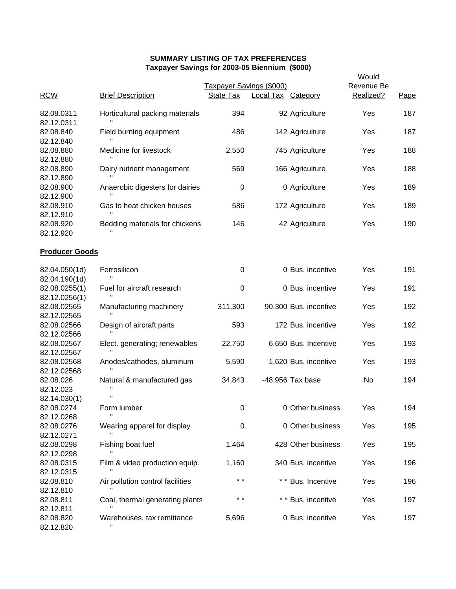|                                        |                                  | axpaysi bayings ior 2000-00 Dictimum ( $\psi$ 000) |                           |                       | Would      |      |  |
|----------------------------------------|----------------------------------|----------------------------------------------------|---------------------------|-----------------------|------------|------|--|
|                                        |                                  | Taxpayer Savings (\$000)                           |                           |                       | Revenue Be |      |  |
| <b>RCW</b>                             | <b>Brief Description</b>         | State Tax                                          | <b>Local Tax Category</b> |                       | Realized?  | Page |  |
| 82.08.0311<br>82.12.0311               | Horticultural packing materials  | 394                                                |                           | 92 Agriculture        | Yes        | 187  |  |
| 82.08.840<br>82.12.840                 | Field burning equipment          | 486                                                |                           | 142 Agriculture       | Yes        | 187  |  |
| 82.08.880<br>82.12.880                 | Medicine for livestock           | 2,550                                              |                           | 745 Agriculture       | Yes        | 188  |  |
| 82.08.890<br>82.12.890                 | Dairy nutrient management        | 569                                                |                           | 166 Agriculture       | Yes        | 188  |  |
| 82.08.900<br>82.12.900                 | Anaerobic digesters for dairies  | $\pmb{0}$                                          |                           | 0 Agriculture         | Yes        | 189  |  |
| 82.08.910<br>82.12.910                 | Gas to heat chicken houses       | 586                                                |                           | 172 Agriculture       | Yes        | 189  |  |
| 82.08.920<br>82.12.920                 | Bedding materials for chickens   | 146                                                |                           | 42 Agriculture        | Yes        | 190  |  |
| <b>Producer Goods</b>                  |                                  |                                                    |                           |                       |            |      |  |
| 82.04.050(1d)<br>82.04.190(1d)         | Ferrosilicon                     | $\pmb{0}$                                          |                           | 0 Bus. incentive      | Yes        | 191  |  |
| 82.08.0255(1)<br>82.12.0256(1)         | Fuel for aircraft research       | $\pmb{0}$                                          |                           | 0 Bus. incentive      | Yes        | 191  |  |
| 82.08.02565<br>82.12.02565             | Manufacturing machinery          | 311,300                                            |                           | 90,300 Bus. incentive | Yes        | 192  |  |
| 82.08.02566<br>82.12.02566             | Design of aircraft parts         | 593                                                |                           | 172 Bus. incentive    | Yes        | 192  |  |
| 82.08.02567<br>82.12.02567             | Elect. generating; renewables    | 22,750                                             |                           | 6,650 Bus. Incentive  | Yes        | 193  |  |
| 82.08.02568<br>82.12.02568             | Anodes/cathodes, aluminum        | 5,590                                              |                           | 1,620 Bus. incentive  | Yes        | 193  |  |
| 82.08.026<br>82.12.023<br>82.14.030(1) | Natural & manufactured gas<br>Ħ  | 34,843                                             |                           | -48,956 Tax base      | No         | 194  |  |
| 82.08.0274<br>82.12.0268               | Form lumber                      | 0                                                  |                           | 0 Other business      | Yes        | 194  |  |
| 82.08.0276<br>82.12.0271               | Wearing apparel for display      | $\pmb{0}$                                          |                           | 0 Other business      | Yes        | 195  |  |
| 82.08.0298<br>82.12.0298               | Fishing boat fuel                | 1,464                                              |                           | 428 Other business    | Yes        | 195  |  |
| 82.08.0315<br>82.12.0315               | Film & video production equip.   | 1,160                                              |                           | 340 Bus. incentive    | Yes        | 196  |  |
| 82.08.810<br>82.12.810                 | Air pollution control facilities | $* *$                                              |                           | ** Bus. Incentive     | Yes        | 196  |  |
| 82.08.811<br>82.12.811                 | Coal, thermal generating plants  | $***$                                              |                           | * * Bus. incentive    | Yes        | 197  |  |
| 82.08.820<br>82.12.820                 | Warehouses, tax remittance       | 5,696                                              |                           | 0 Bus. incentive      | Yes        | 197  |  |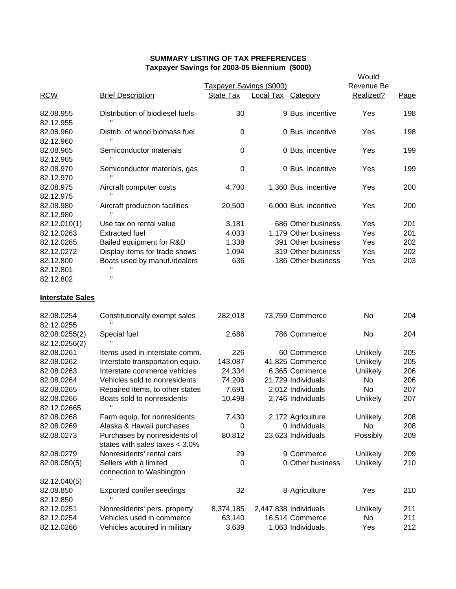|                           |                                                                  |                          |                           |                       | Would      |      |
|---------------------------|------------------------------------------------------------------|--------------------------|---------------------------|-----------------------|------------|------|
|                           |                                                                  | Taxpayer Savings (\$000) |                           |                       | Revenue Be |      |
| <b>RCW</b>                | <b>Brief Description</b>                                         | <b>State Tax</b>         | <b>Local Tax Category</b> |                       | Realized?  | Page |
| 82.08.955<br>82.12.955    | Distribution of biodiesel fuels                                  | 30                       |                           | 9 Bus. incentive      | Yes        | 198  |
| 82.08.960<br>82.12.960    | Distrib. of wood biomass fuel                                    | 0                        |                           | 0 Bus. incentive      | Yes        | 198  |
| 82.08.965<br>82.12.965    | Semiconductor materials                                          | $\boldsymbol{0}$         |                           | 0 Bus. incentive      | Yes        | 199  |
| 82.08.970                 | Semiconductor materials, gas                                     | 0                        |                           | 0 Bus. incentive      | Yes        | 199  |
| 82.12.970<br>82.08.975    | Aircraft computer costs                                          | 4,700                    |                           | 1,360 Bus. incentive  | Yes        | 200  |
| 82.12.975<br>82.08.980    | Aircraft production facilities                                   | 20,500                   |                           | 6,000 Bus. incentive  | Yes        | 200  |
| 82.12.980<br>82.12.010(1) | Use tax on rental value                                          | 3,181                    |                           | 686 Other business    | Yes        | 201  |
| 82.12.0263                | <b>Extracted fuel</b>                                            | 4,033                    |                           | 1,179 Other business  | Yes        | 201  |
| 82.12.0265                | Bailed equipment for R&D                                         | 1,338                    |                           | 391 Other business    | Yes        | 202  |
| 82.12.0272                | Display items for trade shows                                    | 1,094                    |                           | 319 Other business    | Yes        | 202  |
| 82.12.800                 | Boats used by manuf./dealers                                     | 636                      |                           | 186 Other business    | Yes        | 203  |
| 82.12.801                 | Ħ                                                                |                          |                           |                       |            |      |
| 82.12.802                 |                                                                  |                          |                           |                       |            |      |
| <b>Interstate Sales</b>   |                                                                  |                          |                           |                       |            |      |
| 82.08.0254                | Constitutionally exempt sales                                    | 282,018                  |                           | 73,759 Commerce       | No.        | 204  |
| 82.12.0255                |                                                                  |                          |                           |                       |            |      |
| 82.08.0255(2)             | Special fuel                                                     | 2,686                    |                           | 786 Commerce          | No.        | 204  |
| 82.12.0256(2)             |                                                                  |                          |                           |                       |            |      |
| 82.08.0261                | Items used in interstate comm.                                   | 226                      |                           | 60 Commerce           | Unlikely   | 205  |
| 82.08.0262                | Interstate transportation equip.                                 | 143,087                  |                           | 41,825 Commerce       | Unlikely   | 205  |
| 82.08.0263                | Interstate commerce vehicles                                     | 24,334                   |                           | 6,365 Commerce        | Unlikely   | 206  |
| 82.08.0264                | Vehicles sold to nonresidents                                    | 74,206                   |                           | 21,729 Individuals    | No.        | 206  |
| 82.08.0265                | Repaired items, to other states                                  | 7,691                    |                           | 2,012 Individuals     | No.        | 207  |
| 82.08.0266<br>82.12.02665 | Boats sold to nonresidents                                       | 10,498                   |                           | 2,746 Individuals     | Unlikely   | 207  |
| 82.08.0268                | Farm equip. for nonresidents                                     | 7,430                    |                           | 2,172 Agriculture     | Unlikely   | 208  |
| 82.08.0269                | Alaska & Hawaii purchases                                        | 0                        |                           | 0 Individuals         | No         | 208  |
| 82.08.0273                | Purchases by nonresidents of<br>states with sales taxes $<$ 3.0% | 80,812                   |                           | 23,623 Individuals    | Possibly   | 209  |
| 82.08.0279                | Nonresidents' rental cars                                        | 29                       |                           | 9 Commerce            | Unlikely   | 209  |
| 82.08.050(5)              | Sellers with a limited                                           | 0                        |                           | 0 Other business      | Unlikely   | 210  |
|                           | connection to Washington                                         |                          |                           |                       |            |      |
| 82.12.040(5)              |                                                                  |                          |                           |                       |            |      |
| 82.08.850                 | <b>Exported conifer seedings</b>                                 | 32                       |                           | 8 Agriculture         | Yes        | 210  |
| 82.12.850                 |                                                                  |                          |                           |                       |            |      |
| 82.12.0251                | Nonresidents' pers. property                                     | 8,374,185                |                           | 2,447,838 Individuals | Unlikely   | 211  |
| 82.12.0254                | Vehicles used in commerce                                        | 63,140                   |                           | 16,514 Commerce       | No         | 211  |
| 82.12.0266                | Vehicles acquired in military                                    | 3,639                    |                           | 1,063 Individuals     | Yes        | 212  |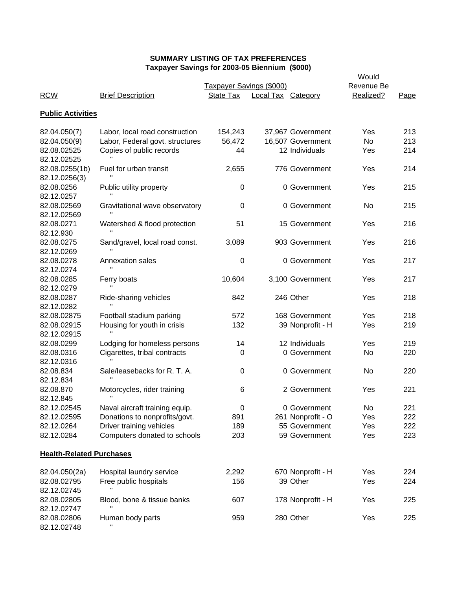| <b>RCW</b>                      | <b>Brief Description</b>        | Taxpayer Savings (\$000)<br>State Tax | <b>Local Tax Category</b> |                   | Would<br>Revenue Be<br>Realized? | Page |
|---------------------------------|---------------------------------|---------------------------------------|---------------------------|-------------------|----------------------------------|------|
| <b>Public Activities</b>        |                                 |                                       |                           |                   |                                  |      |
| 82.04.050(7)                    | Labor, local road construction  | 154,243                               |                           | 37,967 Government | Yes                              | 213  |
| 82.04.050(9)                    | Labor, Federal govt. structures | 56,472                                |                           | 16,507 Government | No                               | 213  |
| 82.08.02525                     | Copies of public records        | 44                                    |                           | 12 Individuals    | Yes                              | 214  |
| 82.12.02525                     |                                 |                                       |                           |                   |                                  |      |
| 82.08.0255(1b)                  | Fuel for urban transit          | 2,655                                 |                           | 776 Government    | Yes                              | 214  |
| 82.12.0256(3)                   |                                 |                                       |                           |                   |                                  |      |
| 82.08.0256                      | Public utility property         | $\boldsymbol{0}$                      |                           | 0 Government      | Yes                              | 215  |
| 82.12.0257                      |                                 |                                       |                           |                   |                                  |      |
| 82.08.02569                     | Gravitational wave observatory  | $\boldsymbol{0}$                      |                           | 0 Government      | No                               | 215  |
| 82.12.02569                     |                                 |                                       |                           |                   |                                  |      |
| 82.08.0271                      | Watershed & flood protection    | 51                                    |                           | 15 Government     | Yes                              | 216  |
| 82.12.930                       |                                 |                                       |                           |                   |                                  |      |
| 82.08.0275                      | Sand/gravel, local road const.  | 3,089                                 |                           | 903 Government    | Yes                              | 216  |
| 82.12.0269                      |                                 |                                       |                           |                   |                                  |      |
| 82.08.0278                      | Annexation sales                | $\pmb{0}$                             |                           | 0 Government      | Yes                              | 217  |
| 82.12.0274                      |                                 |                                       |                           |                   |                                  |      |
| 82.08.0285                      | Ferry boats                     | 10,604                                |                           | 3,100 Government  | Yes                              | 217  |
| 82.12.0279                      |                                 |                                       |                           |                   |                                  |      |
| 82.08.0287                      | Ride-sharing vehicles           | 842                                   |                           | 246 Other         | Yes                              | 218  |
| 82.12.0282                      |                                 |                                       |                           |                   |                                  |      |
| 82.08.02875                     | Football stadium parking        | 572                                   |                           | 168 Government    | Yes                              | 218  |
| 82.08.02915                     | Housing for youth in crisis     | 132                                   |                           | 39 Nonprofit - H  | Yes                              | 219  |
| 82.12.02915                     |                                 |                                       |                           |                   |                                  |      |
| 82.08.0299                      | Lodging for homeless persons    | 14                                    |                           | 12 Individuals    | Yes                              | 219  |
| 82.08.0316                      | Cigarettes, tribal contracts    | 0                                     |                           | 0 Government      | No                               | 220  |
| 82.12.0316                      |                                 |                                       |                           |                   |                                  |      |
| 82.08.834                       | Sale/leasebacks for R. T. A.    | $\boldsymbol{0}$                      |                           | 0 Government      | No                               | 220  |
| 82.12.834                       |                                 |                                       |                           |                   |                                  |      |
| 82.08.870                       | Motorcycles, rider training     | 6                                     |                           | 2 Government      | Yes                              | 221  |
| 82.12.845                       |                                 |                                       |                           |                   |                                  |      |
| 82.12.02545                     | Naval aircraft training equip.  | 0                                     |                           | 0 Government      | No                               | 221  |
| 82.12.02595                     | Donations to nonprofits/govt.   | 891                                   |                           | 261 Nonprofit - O | Yes                              | 222  |
| 82.12.0264                      | Driver training vehicles        | 189                                   |                           | 55 Government     | Yes                              | 222  |
| 82.12.0284                      | Computers donated to schools    | 203                                   |                           | 59 Government     | Yes                              | 223  |
|                                 |                                 |                                       |                           |                   |                                  |      |
| <b>Health-Related Purchases</b> |                                 |                                       |                           |                   |                                  |      |
| 82.04.050(2a)                   | Hospital laundry service        | 2,292                                 |                           | 670 Nonprofit - H | Yes                              | 224  |
| 82.08.02795                     | Free public hospitals           | 156                                   |                           | 39 Other          | Yes                              | 224  |
| 82.12.02745                     |                                 |                                       |                           |                   |                                  |      |
| 82.08.02805                     | Blood, bone & tissue banks      | 607                                   |                           | 178 Nonprofit - H | Yes                              | 225  |
| 82.12.02747                     |                                 |                                       |                           |                   |                                  |      |
| 82.08.02806                     | Human body parts                | 959                                   |                           | 280 Other         | Yes                              | 225  |
| 82.12.02748                     |                                 |                                       |                           |                   |                                  |      |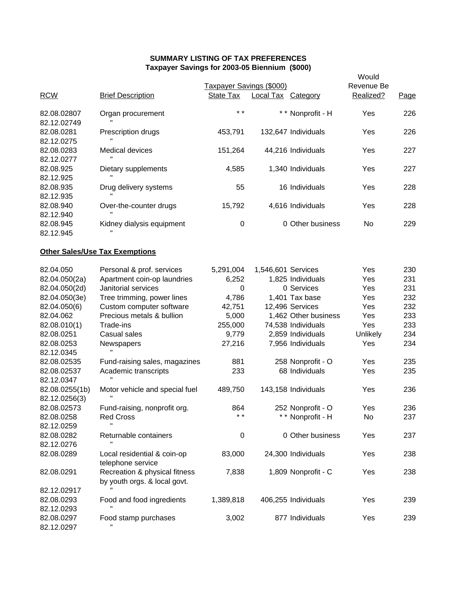|                                 | . axpaydi oavings for 2003-03 Dictimum (\$000)                |                          | Would              |                      |            |      |
|---------------------------------|---------------------------------------------------------------|--------------------------|--------------------|----------------------|------------|------|
|                                 |                                                               | Taxpayer Savings (\$000) |                    |                      | Revenue Be |      |
| <b>RCW</b>                      | <b>Brief Description</b>                                      | State Tax                | Local Tax Category |                      | Realized?  | Page |
| 82.08.02807<br>82.12.02749      | Organ procurement                                             | $\star$ $\star$          |                    | ** Nonprofit - H     | Yes        | 226  |
| 82.08.0281<br>82.12.0275        | Prescription drugs                                            | 453,791                  |                    | 132,647 Individuals  | Yes        | 226  |
| 82.08.0283<br>82.12.0277        | Medical devices                                               | 151,264                  |                    | 44,216 Individuals   | Yes        | 227  |
| 82.08.925<br>82.12.925          | Dietary supplements                                           | 4,585                    |                    | 1,340 Individuals    | Yes        | 227  |
| 82.08.935<br>82.12.935          | Drug delivery systems                                         | 55                       |                    | 16 Individuals       | Yes        | 228  |
| 82.08.940<br>82.12.940          | Over-the-counter drugs                                        | 15,792                   |                    | 4,616 Individuals    | Yes        | 228  |
| 82.08.945<br>82.12.945          | Kidney dialysis equipment                                     | 0                        |                    | 0 Other business     | No.        | 229  |
|                                 | <b>Other Sales/Use Tax Exemptions</b>                         |                          |                    |                      |            |      |
| 82.04.050                       | Personal & prof. services                                     | 5,291,004                | 1,546,601 Services |                      | Yes        | 230  |
| 82.04.050(2a)                   | Apartment coin-op laundries                                   | 6,252                    |                    | 1,825 Individuals    | Yes        | 231  |
| 82.04.050(2d)                   | Janitorial services                                           | $\Omega$                 |                    | 0 Services           | Yes        | 231  |
| 82.04.050(3e)                   | Tree trimming, power lines                                    | 4,786                    |                    | 1,401 Tax base       | Yes        | 232  |
| 82.04.050(6)                    | Custom computer software                                      | 42,751                   |                    | 12,496 Services      | Yes        | 232  |
| 82.04.062                       | Precious metals & bullion                                     | 5,000                    |                    | 1,462 Other business | Yes        | 233  |
| 82.08.010(1)                    | Trade-ins                                                     | 255,000                  |                    | 74,538 Individuals   | Yes        | 233  |
| 82.08.0251                      | Casual sales                                                  | 9,779                    |                    | 2,859 Individuals    | Unlikely   | 234  |
| 82.08.0253                      | Newspapers                                                    | 27,216                   |                    | 7,956 Individuals    | Yes        | 234  |
| 82.12.0345                      |                                                               |                          |                    |                      |            |      |
| 82.08.02535                     | Fund-raising sales, magazines                                 | 881                      |                    | 258 Nonprofit - O    | Yes        | 235  |
| 82.08.02537<br>82.12.0347       | Academic transcripts                                          | 233                      |                    | 68 Individuals       | Yes        | 235  |
| 82.08.0255(1b)<br>82.12.0256(3) | Motor vehicle and special fuel                                | 489,750                  |                    | 143,158 Individuals  | Yes        | 236  |
| 82.08.02573                     | Fund-raising, nonprofit org.                                  | 864                      |                    | 252 Nonprofit - O    | Yes        | 236  |
| 82.08.0258                      | <b>Red Cross</b>                                              | $\star$ $\star$          |                    | * * Nonprofit - H    | No         | 237  |
| 82.12.0259                      | Ħ                                                             |                          |                    |                      |            |      |
| 82.08.0282                      | Returnable containers                                         | 0                        |                    | 0 Other business     | Yes        | 237  |
| 82.12.0276                      |                                                               |                          |                    |                      |            |      |
| 82.08.0289                      | Local residential & coin-op<br>telephone service              | 83,000                   |                    | 24,300 Individuals   | Yes        | 238  |
| 82.08.0291                      | Recreation & physical fitness<br>by youth orgs. & local govt. | 7,838                    |                    | 1,809 Nonprofit - C  | Yes        | 238  |
| 82.12.02917                     |                                                               |                          |                    |                      |            |      |
| 82.08.0293                      | Food and food ingredients                                     | 1,389,818                |                    | 406,255 Individuals  | Yes        | 239  |
| 82.12.0293                      |                                                               |                          |                    |                      |            |      |
| 82.08.0297                      | Food stamp purchases                                          | 3,002                    |                    | 877 Individuals      | Yes        | 239  |
| 82.12.0297                      |                                                               |                          |                    |                      |            |      |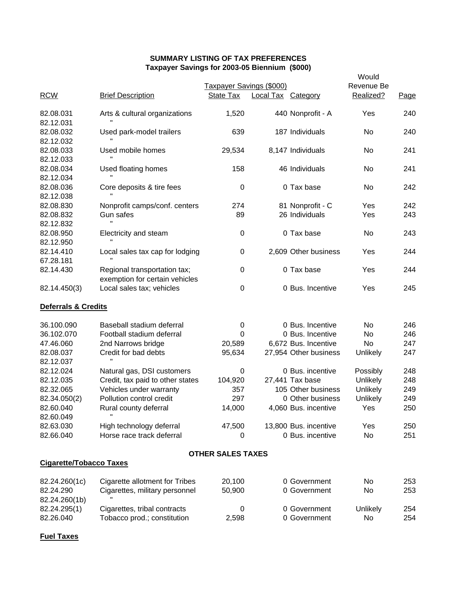|                                | $\frac{1}{2}$ idayo iyo kumali umumiy katalog asl ahal dagaalka ugu dhaqaalka ugu dhaqaalka ugu dhaqaalka ugu dhaqaalka ugu dhaqaalka ugu dhaqaalka ugu dhaqaalka ugu dhaqaalka ugu dhaqaalka ugu dhaqaalka ugu dhaqaalka ugu dha |                          |                           |                       | Would           |      |
|--------------------------------|-----------------------------------------------------------------------------------------------------------------------------------------------------------------------------------------------------------------------------------|--------------------------|---------------------------|-----------------------|-----------------|------|
|                                |                                                                                                                                                                                                                                   | Taxpayer Savings (\$000) |                           |                       | Revenue Be      |      |
| <b>RCW</b>                     | <b>Brief Description</b>                                                                                                                                                                                                          | State Tax                | <b>Local Tax Category</b> |                       | Realized?       | Page |
| 82.08.031                      | Arts & cultural organizations                                                                                                                                                                                                     | 1,520                    |                           | 440 Nonprofit - A     | Yes             | 240  |
| 82.12.031                      |                                                                                                                                                                                                                                   |                          |                           |                       |                 |      |
| 82.08.032                      | Used park-model trailers                                                                                                                                                                                                          | 639                      |                           | 187 Individuals       | No              | 240  |
| 82.12.032                      |                                                                                                                                                                                                                                   |                          |                           |                       |                 |      |
| 82.08.033                      | Used mobile homes                                                                                                                                                                                                                 | 29,534                   |                           | 8,147 Individuals     | No              | 241  |
| 82.12.033                      |                                                                                                                                                                                                                                   |                          |                           |                       |                 |      |
| 82.08.034                      | Used floating homes                                                                                                                                                                                                               | 158                      |                           | 46 Individuals        | No              | 241  |
| 82.12.034                      |                                                                                                                                                                                                                                   |                          |                           |                       |                 |      |
| 82.08.036                      | Core deposits & tire fees                                                                                                                                                                                                         | $\boldsymbol{0}$         |                           | 0 Tax base            | No              | 242  |
| 82.12.038                      |                                                                                                                                                                                                                                   |                          |                           |                       |                 |      |
| 82.08.830                      | Nonprofit camps/conf. centers                                                                                                                                                                                                     | 274                      |                           | 81 Nonprofit - C      | Yes             | 242  |
| 82.08.832                      | Gun safes                                                                                                                                                                                                                         | 89                       |                           | 26 Individuals        | Yes             | 243  |
| 82.12.832                      | Ħ                                                                                                                                                                                                                                 |                          |                           |                       |                 |      |
| 82.08.950                      | Electricity and steam                                                                                                                                                                                                             | 0                        |                           | 0 Tax base            | No              | 243  |
| 82.12.950                      |                                                                                                                                                                                                                                   |                          |                           |                       |                 |      |
| 82.14.410                      | Local sales tax cap for lodging                                                                                                                                                                                                   | 0                        |                           | 2,609 Other business  | Yes             | 244  |
| 67.28.181                      |                                                                                                                                                                                                                                   |                          |                           |                       |                 |      |
| 82.14.430                      | Regional transportation tax;<br>exemption for certain vehicles                                                                                                                                                                    | 0                        |                           | 0 Tax base            | Yes             | 244  |
| 82.14.450(3)                   | Local sales tax; vehicles                                                                                                                                                                                                         | 0                        |                           | 0 Bus. Incentive      | Yes             | 245  |
| <b>Deferrals &amp; Credits</b> |                                                                                                                                                                                                                                   |                          |                           |                       |                 |      |
| 36.100.090                     | Baseball stadium deferral                                                                                                                                                                                                         | 0                        |                           | 0 Bus. Incentive      | No.             | 246  |
| 36.102.070                     | Football stadium deferral                                                                                                                                                                                                         | 0                        |                           | 0 Bus. Incentive      | No.             | 246  |
| 47.46.060                      | 2nd Narrows bridge                                                                                                                                                                                                                | 20,589                   |                           | 6,672 Bus. Incentive  | No              | 247  |
| 82.08.037                      | Credit for bad debts                                                                                                                                                                                                              | 95,634                   |                           | 27,954 Other business | Unlikely        | 247  |
| 82.12.037                      |                                                                                                                                                                                                                                   |                          |                           |                       |                 |      |
| 82.12.024                      | Natural gas, DSI customers                                                                                                                                                                                                        | 0                        |                           | 0 Bus. incentive      | Possibly        | 248  |
| 82.12.035                      | Credit, tax paid to other states                                                                                                                                                                                                  | 104,920                  |                           | 27,441 Tax base       | <b>Unlikely</b> | 248  |
| 82.32.065                      | Vehicles under warranty                                                                                                                                                                                                           | 357                      |                           | 105 Other business    | <b>Unlikely</b> | 249  |
| 82.34.050(2)                   | Pollution control credit                                                                                                                                                                                                          | 297                      |                           | 0 Other business      | Unlikely        | 249  |
| 82.60.040                      | Rural county deferral                                                                                                                                                                                                             | 14,000                   |                           | 4,060 Bus. incentive  | Yes             | 250  |
| 82.60.049                      |                                                                                                                                                                                                                                   |                          |                           |                       |                 |      |
| 82.63.030                      | High technology deferral                                                                                                                                                                                                          | 47,500                   |                           | 13,800 Bus. incentive | Yes             | 250  |
| 82.66.040                      | Horse race track deferral                                                                                                                                                                                                         | 0                        |                           | 0 Bus. incentive      | <b>No</b>       | 251  |
|                                |                                                                                                                                                                                                                                   | <b>OTHER SALES TAXES</b> |                           |                       |                 |      |
| <b>Cigarette/Tobacco Taxes</b> |                                                                                                                                                                                                                                   |                          |                           |                       |                 |      |
| 82.24.260(1c)                  | Cigarette allotment for Tribes                                                                                                                                                                                                    | 20,100                   |                           | 0 Government          | No              | 253  |
| 82.24.290                      | Cigarettes, military personnel                                                                                                                                                                                                    | 50,900                   |                           | 0 Government          | No              | 253  |
| 82.24.260(1b)                  |                                                                                                                                                                                                                                   |                          |                           |                       |                 |      |
| 82.24.295(1)                   | Cigarettes, tribal contracts                                                                                                                                                                                                      | 0                        |                           | 0 Government          | Unlikely        | 254  |
| 82.26.040                      | Tobacco prod.; constitution                                                                                                                                                                                                       | 2,598                    |                           | 0 Government          | No              | 254  |
|                                |                                                                                                                                                                                                                                   |                          |                           |                       |                 |      |